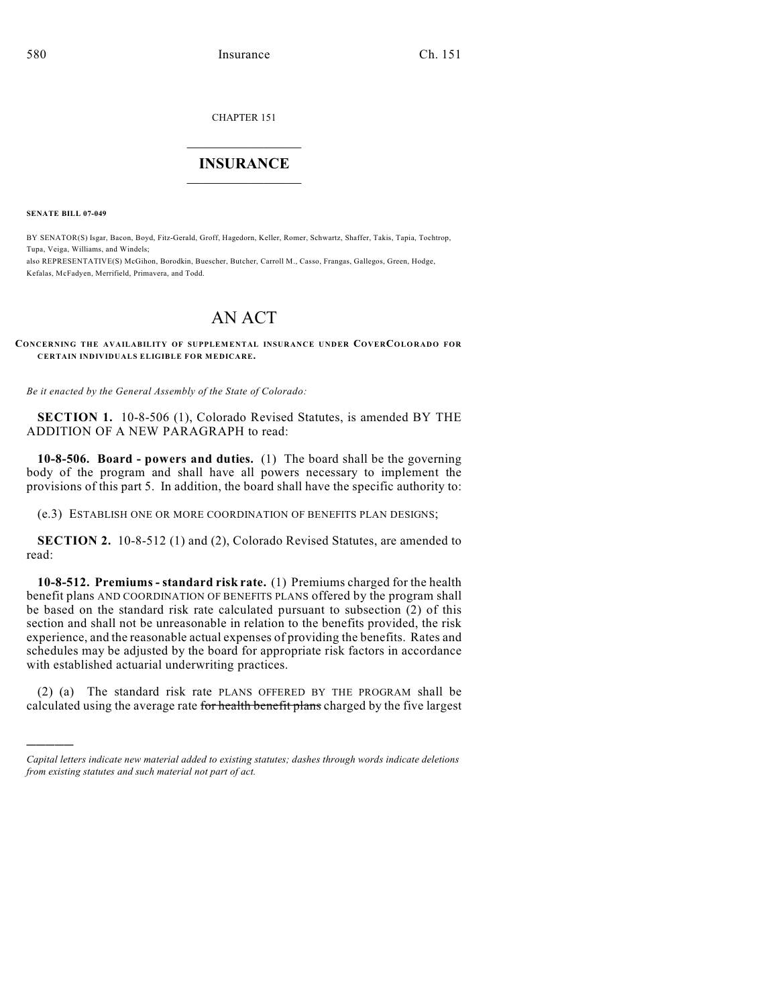CHAPTER 151

## $\overline{\phantom{a}}$  . The set of the set of the set of the set of the set of the set of the set of the set of the set of the set of the set of the set of the set of the set of the set of the set of the set of the set of the set o **INSURANCE**  $\frac{1}{2}$  ,  $\frac{1}{2}$  ,  $\frac{1}{2}$  ,  $\frac{1}{2}$  ,  $\frac{1}{2}$  ,  $\frac{1}{2}$  ,  $\frac{1}{2}$

**SENATE BILL 07-049**

)))))

BY SENATOR(S) Isgar, Bacon, Boyd, Fitz-Gerald, Groff, Hagedorn, Keller, Romer, Schwartz, Shaffer, Takis, Tapia, Tochtrop, Tupa, Veiga, Williams, and Windels;

also REPRESENTATIVE(S) McGihon, Borodkin, Buescher, Butcher, Carroll M., Casso, Frangas, Gallegos, Green, Hodge, Kefalas, McFadyen, Merrifield, Primavera, and Todd.

## AN ACT

**CONCERNING THE AVAILABILITY OF SUPPLEMENTAL INSURANCE UNDER COVERCOLORADO FOR CERTAIN INDIVIDUALS ELIGIBLE FOR MEDICARE.**

*Be it enacted by the General Assembly of the State of Colorado:*

**SECTION 1.** 10-8-506 (1), Colorado Revised Statutes, is amended BY THE ADDITION OF A NEW PARAGRAPH to read:

**10-8-506. Board - powers and duties.** (1) The board shall be the governing body of the program and shall have all powers necessary to implement the provisions of this part 5. In addition, the board shall have the specific authority to:

(e.3) ESTABLISH ONE OR MORE COORDINATION OF BENEFITS PLAN DESIGNS;

**SECTION 2.** 10-8-512 (1) and (2), Colorado Revised Statutes, are amended to read:

**10-8-512. Premiums - standard risk rate.** (1) Premiums charged for the health benefit plans AND COORDINATION OF BENEFITS PLANS offered by the program shall be based on the standard risk rate calculated pursuant to subsection (2) of this section and shall not be unreasonable in relation to the benefits provided, the risk experience, and the reasonable actual expenses of providing the benefits. Rates and schedules may be adjusted by the board for appropriate risk factors in accordance with established actuarial underwriting practices.

(2) (a) The standard risk rate PLANS OFFERED BY THE PROGRAM shall be calculated using the average rate for health benefit plans charged by the five largest

*Capital letters indicate new material added to existing statutes; dashes through words indicate deletions from existing statutes and such material not part of act.*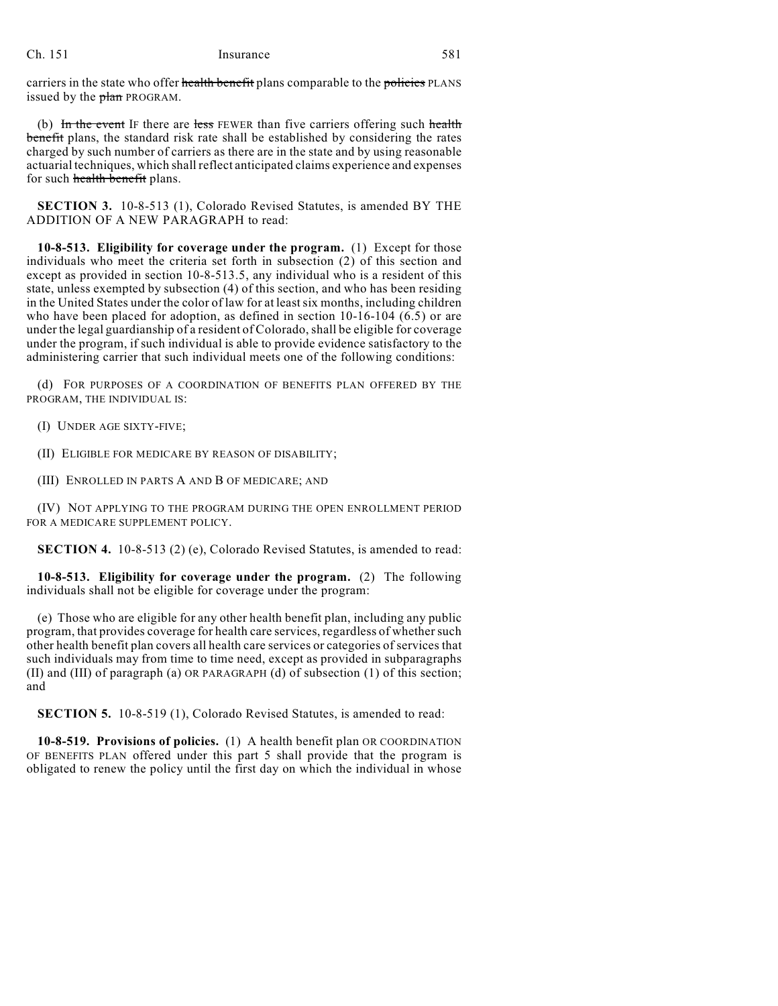## Ch. 151 Insurance 581

carriers in the state who offer health benefit plans comparable to the policies PLANS issued by the plan PROGRAM.

(b) In the event IF there are less FEWER than five carriers offering such health benefit plans, the standard risk rate shall be established by considering the rates charged by such number of carriers as there are in the state and by using reasonable actuarial techniques, which shall reflect anticipated claims experience and expenses for such health benefit plans.

**SECTION 3.** 10-8-513 (1), Colorado Revised Statutes, is amended BY THE ADDITION OF A NEW PARAGRAPH to read:

**10-8-513. Eligibility for coverage under the program.** (1) Except for those individuals who meet the criteria set forth in subsection (2) of this section and except as provided in section 10-8-513.5, any individual who is a resident of this state, unless exempted by subsection (4) of this section, and who has been residing in the United States under the color of law for at leastsix months, including children who have been placed for adoption, as defined in section 10-16-104 (6.5) or are under the legal guardianship of a resident of Colorado, shall be eligible for coverage under the program, if such individual is able to provide evidence satisfactory to the administering carrier that such individual meets one of the following conditions:

(d) FOR PURPOSES OF A COORDINATION OF BENEFITS PLAN OFFERED BY THE PROGRAM, THE INDIVIDUAL IS:

(I) UNDER AGE SIXTY-FIVE;

(II) ELIGIBLE FOR MEDICARE BY REASON OF DISABILITY;

(III) ENROLLED IN PARTS A AND B OF MEDICARE; AND

(IV) NOT APPLYING TO THE PROGRAM DURING THE OPEN ENROLLMENT PERIOD FOR A MEDICARE SUPPLEMENT POLICY.

**SECTION 4.** 10-8-513 (2) (e), Colorado Revised Statutes, is amended to read:

**10-8-513. Eligibility for coverage under the program.** (2) The following individuals shall not be eligible for coverage under the program:

(e) Those who are eligible for any other health benefit plan, including any public program, that provides coverage for health care services, regardless of whether such other health benefit plan covers all health care services or categories of services that such individuals may from time to time need, except as provided in subparagraphs (II) and (III) of paragraph (a) OR PARAGRAPH (d) of subsection (1) of this section; and

**SECTION 5.** 10-8-519 (1), Colorado Revised Statutes, is amended to read:

**10-8-519. Provisions of policies.** (1) A health benefit plan OR COORDINATION OF BENEFITS PLAN offered under this part 5 shall provide that the program is obligated to renew the policy until the first day on which the individual in whose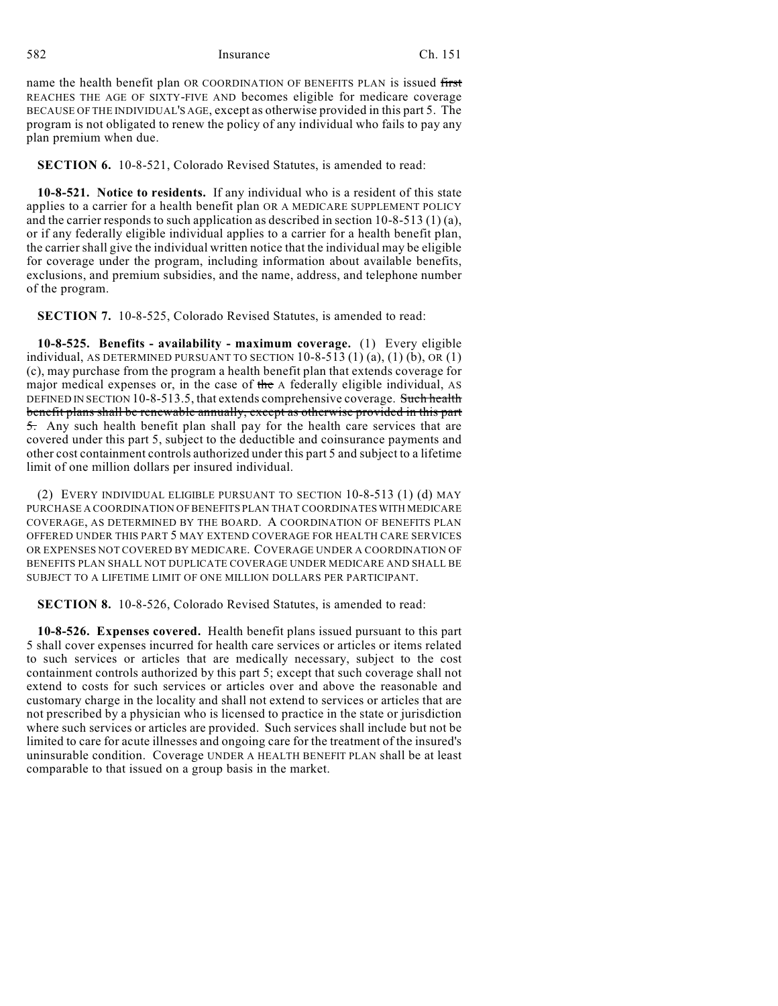582 Insurance Ch. 151

name the health benefit plan OR COORDINATION OF BENEFITS PLAN is issued first REACHES THE AGE OF SIXTY-FIVE AND becomes eligible for medicare coverage BECAUSE OF THE INDIVIDUAL'S AGE, except as otherwise provided in this part 5. The program is not obligated to renew the policy of any individual who fails to pay any plan premium when due.

**SECTION 6.** 10-8-521, Colorado Revised Statutes, is amended to read:

**10-8-521. Notice to residents.** If any individual who is a resident of this state applies to a carrier for a health benefit plan OR A MEDICARE SUPPLEMENT POLICY and the carrier responds to such application as described in section  $10-8-513$  (1) (a), or if any federally eligible individual applies to a carrier for a health benefit plan, the carrier shall give the individual written notice that the individual may be eligible for coverage under the program, including information about available benefits, exclusions, and premium subsidies, and the name, address, and telephone number of the program.

**SECTION 7.** 10-8-525, Colorado Revised Statutes, is amended to read:

**10-8-525. Benefits - availability - maximum coverage.** (1) Every eligible individual, AS DETERMINED PURSUANT TO SECTION  $10-8-513(1)(a)$ ,  $(1)(b)$ , OR  $(1)$ (c), may purchase from the program a health benefit plan that extends coverage for major medical expenses or, in the case of the A federally eligible individual, AS DEFINED IN SECTION 10-8-513.5, that extends comprehensive coverage. Such health benefit plans shall be renewable annually, except as otherwise provided in this part 5. Any such health benefit plan shall pay for the health care services that are covered under this part 5, subject to the deductible and coinsurance payments and other cost containment controls authorized under this part 5 and subject to a lifetime limit of one million dollars per insured individual.

(2) EVERY INDIVIDUAL ELIGIBLE PURSUANT TO SECTION 10-8-513 (1) (d) MAY PURCHASE A COORDINATION OF BENEFITS PLAN THAT COORDINATES WITH MEDICARE COVERAGE, AS DETERMINED BY THE BOARD. A COORDINATION OF BENEFITS PLAN OFFERED UNDER THIS PART 5 MAY EXTEND COVERAGE FOR HEALTH CARE SERVICES OR EXPENSES NOT COVERED BY MEDICARE. COVERAGE UNDER A COORDINATION OF BENEFITS PLAN SHALL NOT DUPLICATE COVERAGE UNDER MEDICARE AND SHALL BE SUBJECT TO A LIFETIME LIMIT OF ONE MILLION DOLLARS PER PARTICIPANT.

**SECTION 8.** 10-8-526, Colorado Revised Statutes, is amended to read:

**10-8-526. Expenses covered.** Health benefit plans issued pursuant to this part 5 shall cover expenses incurred for health care services or articles or items related to such services or articles that are medically necessary, subject to the cost containment controls authorized by this part 5; except that such coverage shall not extend to costs for such services or articles over and above the reasonable and customary charge in the locality and shall not extend to services or articles that are not prescribed by a physician who is licensed to practice in the state or jurisdiction where such services or articles are provided. Such services shall include but not be limited to care for acute illnesses and ongoing care for the treatment of the insured's uninsurable condition. Coverage UNDER A HEALTH BENEFIT PLAN shall be at least comparable to that issued on a group basis in the market.